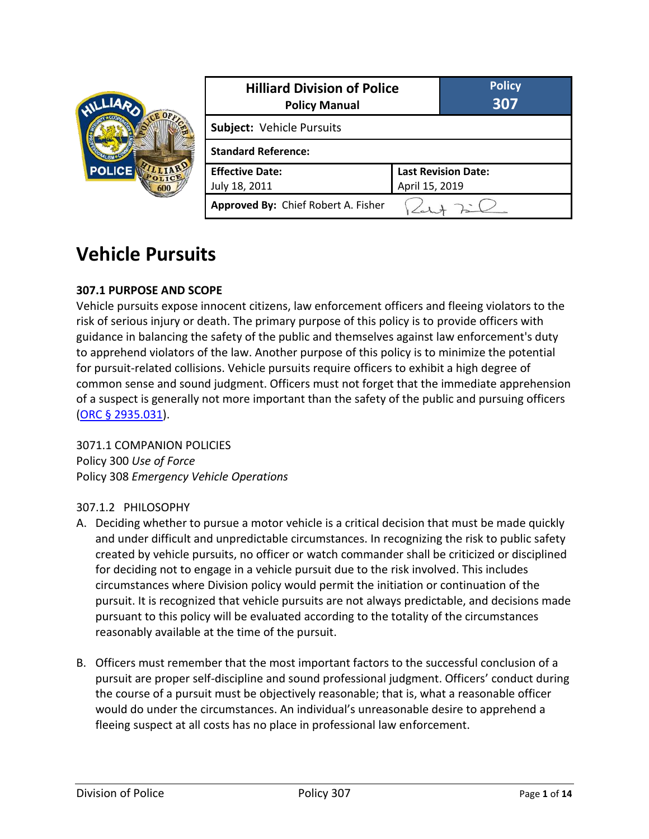|               | <b>Hilliard Division of Police</b><br><b>Policy Manual</b> |  | <b>Policy</b><br>307       |  |
|---------------|------------------------------------------------------------|--|----------------------------|--|
| <b>POLICE</b> | Subject: Vehicle Pursuits                                  |  |                            |  |
|               | <b>Standard Reference:</b>                                 |  |                            |  |
|               | <b>Effective Date:</b>                                     |  | <b>Last Revision Date:</b> |  |
|               | July 18, 2011                                              |  | April 15, 2019             |  |
|               | Approved By: Chief Robert A. Fisher                        |  |                            |  |

# **Vehicle Pursuits**

### **307.1 PURPOSE AND SCOPE**

Vehicle pursuits expose innocent citizens, law enforcement officers and fleeing violators to the risk of serious injury or death. The primary purpose of this policy is to provide officers with guidance in balancing the safety of the public and themselves against law enforcement's duty to apprehend violators of the law. Another purpose of this policy is to minimize the potential for pursuit-related collisions. Vehicle pursuits require officers to exhibit a high degree of common sense and sound judgment. Officers must not forget that the immediate apprehension of a suspect is generally not more important than the safety of the public and pursuing officers [\(ORC § 2935.031\)](http://codes.ohio.gov/orc/2935.031).

3071.1 COMPANION POLICIES Policy 300 *Use of Force* Policy 308 *Emergency Vehicle Operations*

#### 307.1.2 PHILOSOPHY

- A. Deciding whether to pursue a motor vehicle is a critical decision that must be made quickly and under difficult and unpredictable circumstances. In recognizing the risk to public safety created by vehicle pursuits, no officer or watch commander shall be criticized or disciplined for deciding not to engage in a vehicle pursuit due to the risk involved. This includes circumstances where Division policy would permit the initiation or continuation of the pursuit. It is recognized that vehicle pursuits are not always predictable, and decisions made pursuant to this policy will be evaluated according to the totality of the circumstances reasonably available at the time of the pursuit.
- B. Officers must remember that the most important factors to the successful conclusion of a pursuit are proper self-discipline and sound professional judgment. Officers' conduct during the course of a pursuit must be objectively reasonable; that is, what a reasonable officer would do under the circumstances. An individual's unreasonable desire to apprehend a fleeing suspect at all costs has no place in professional law enforcement.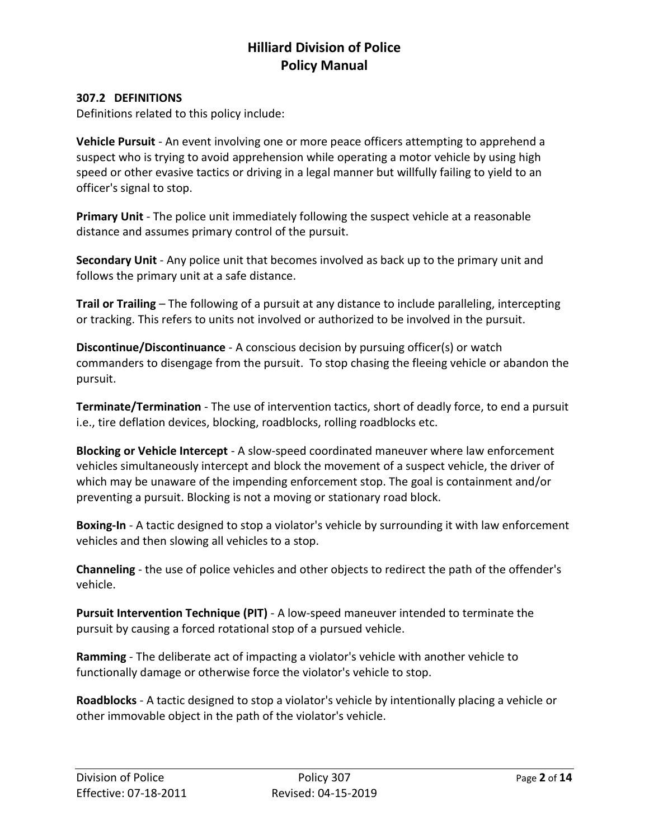#### **307.2 DEFINITIONS**

Definitions related to this policy include:

**Vehicle Pursuit** - An event involving one or more peace officers attempting to apprehend a suspect who is trying to avoid apprehension while operating a motor vehicle by using high speed or other evasive tactics or driving in a legal manner but willfully failing to yield to an officer's signal to stop.

**Primary Unit** - The police unit immediately following the suspect vehicle at a reasonable distance and assumes primary control of the pursuit.

**Secondary Unit** - Any police unit that becomes involved as back up to the primary unit and follows the primary unit at a safe distance.

**Trail or Trailing** – The following of a pursuit at any distance to include paralleling, intercepting or tracking. This refers to units not involved or authorized to be involved in the pursuit.

**Discontinue/Discontinuance** - A conscious decision by pursuing officer(s) or watch commanders to disengage from the pursuit. To stop chasing the fleeing vehicle or abandon the pursuit.

**Terminate/Termination** - The use of intervention tactics, short of deadly force, to end a pursuit i.e., tire deflation devices, blocking, roadblocks, rolling roadblocks etc.

**Blocking or Vehicle Intercept** - A slow-speed coordinated maneuver where law enforcement vehicles simultaneously intercept and block the movement of a suspect vehicle, the driver of which may be unaware of the impending enforcement stop. The goal is containment and/or preventing a pursuit. Blocking is not a moving or stationary road block.

**Boxing-In** - A tactic designed to stop a violator's vehicle by surrounding it with law enforcement vehicles and then slowing all vehicles to a stop.

**Channeling** - the use of police vehicles and other objects to redirect the path of the offender's vehicle.

**Pursuit Intervention Technique (PIT)** - A low-speed maneuver intended to terminate the pursuit by causing a forced rotational stop of a pursued vehicle.

**Ramming** - The deliberate act of impacting a violator's vehicle with another vehicle to functionally damage or otherwise force the violator's vehicle to stop.

**Roadblocks** - A tactic designed to stop a violator's vehicle by intentionally placing a vehicle or other immovable object in the path of the violator's vehicle.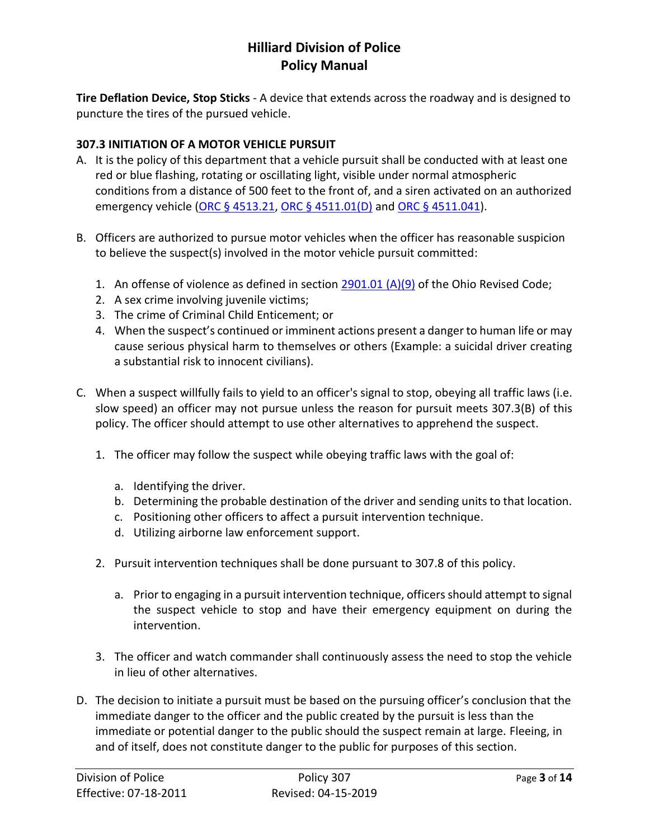**Tire Deflation Device, Stop Sticks** - A device that extends across the roadway and is designed to puncture the tires of the pursued vehicle.

### **307.3 INITIATION OF A MOTOR VEHICLE PURSUIT**

- A. It is the policy of this department that a vehicle pursuit shall be conducted with at least one red or blue flashing, rotating or oscillating light, visible under normal atmospheric conditions from a distance of 500 feet to the front of, and a siren activated on an authorized emergency vehicle [\(ORC § 4513.21,](http://codes.ohio.gov/orc/4513.21) [ORC § 4511.01\(D\)](http://codes.ohio.gov/orc/4511.01) and [ORC § 4511.041\)](http://codes.ohio.gov/orc/4511.041).
- B. Officers are authorized to pursue motor vehicles when the officer has reasonable suspicion to believe the suspect(s) involved in the motor vehicle pursuit committed:
	- 1. An offense of violence as defined in section  $2901.01 (A)(9)$  of the Ohio Revised Code;
	- 2. A sex crime involving juvenile victims;
	- 3. The crime of Criminal Child Enticement; or
	- 4. When the suspect's continued or imminent actions present a danger to human life or may cause serious physical harm to themselves or others (Example: a suicidal driver creating a substantial risk to innocent civilians).
- C. When a suspect willfully fails to yield to an officer's signal to stop, obeying all traffic laws (i.e. slow speed) an officer may not pursue unless the reason for pursuit meets 307.3(B) of this policy. The officer should attempt to use other alternatives to apprehend the suspect.
	- 1. The officer may follow the suspect while obeying traffic laws with the goal of:
		- a. Identifying the driver.
		- b. Determining the probable destination of the driver and sending units to that location.
		- c. Positioning other officers to affect a pursuit intervention technique.
		- d. Utilizing airborne law enforcement support.
	- 2. Pursuit intervention techniques shall be done pursuant to 307.8 of this policy.
		- a. Prior to engaging in a pursuit intervention technique, officers should attempt to signal the suspect vehicle to stop and have their emergency equipment on during the intervention.
	- 3. The officer and watch commander shall continuously assess the need to stop the vehicle in lieu of other alternatives.
- D. The decision to initiate a pursuit must be based on the pursuing officer's conclusion that the immediate danger to the officer and the public created by the pursuit is less than the immediate or potential danger to the public should the suspect remain at large. Fleeing, in and of itself, does not constitute danger to the public for purposes of this section.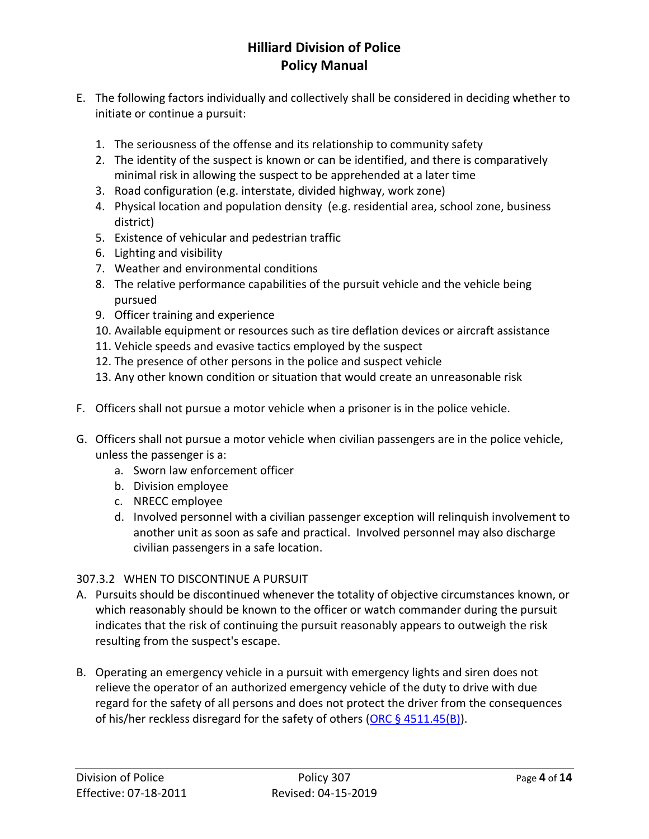- E. The following factors individually and collectively shall be considered in deciding whether to initiate or continue a pursuit:
	- 1. The seriousness of the offense and its relationship to community safety
	- 2. The identity of the suspect is known or can be identified, and there is comparatively minimal risk in allowing the suspect to be apprehended at a later time
	- 3. Road configuration (e.g. interstate, divided highway, work zone)
	- 4. Physical location and population density (e.g. residential area, school zone, business district)
	- 5. Existence of vehicular and pedestrian traffic
	- 6. Lighting and visibility
	- 7. Weather and environmental conditions
	- 8. The relative performance capabilities of the pursuit vehicle and the vehicle being pursued
	- 9. Officer training and experience
	- 10. Available equipment or resources such as tire deflation devices or aircraft assistance
	- 11. Vehicle speeds and evasive tactics employed by the suspect
	- 12. The presence of other persons in the police and suspect vehicle
	- 13. Any other known condition or situation that would create an unreasonable risk
- F. Officers shall not pursue a motor vehicle when a prisoner is in the police vehicle.
- G. Officers shall not pursue a motor vehicle when civilian passengers are in the police vehicle, unless the passenger is a:
	- a. Sworn law enforcement officer
	- b. Division employee
	- c. NRECC employee
	- d. Involved personnel with a civilian passenger exception will relinquish involvement to another unit as soon as safe and practical. Involved personnel may also discharge civilian passengers in a safe location.

### 307.3.2 WHEN TO DISCONTINUE A PURSUIT

- A. Pursuits should be discontinued whenever the totality of objective circumstances known, or which reasonably should be known to the officer or watch commander during the pursuit indicates that the risk of continuing the pursuit reasonably appears to outweigh the risk resulting from the suspect's escape.
- B. Operating an emergency vehicle in a pursuit with emergency lights and siren does not relieve the operator of an authorized emergency vehicle of the duty to drive with due regard for the safety of all persons and does not protect the driver from the consequences of his/her reckless disregard for the safety of others (ORC  $\S$  4511.45(B)).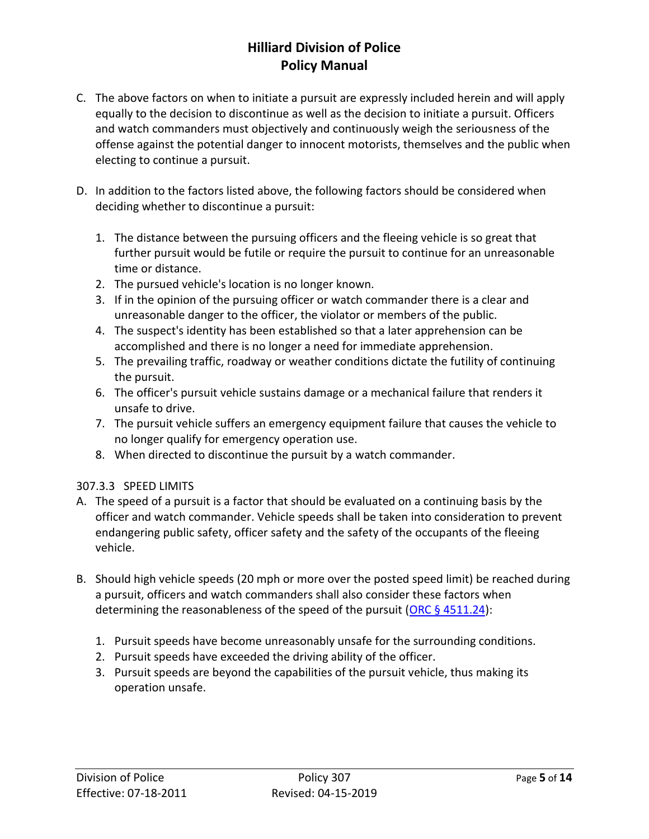- C. The above factors on when to initiate a pursuit are expressly included herein and will apply equally to the decision to discontinue as well as the decision to initiate a pursuit. Officers and watch commanders must objectively and continuously weigh the seriousness of the offense against the potential danger to innocent motorists, themselves and the public when electing to continue a pursuit.
- D. In addition to the factors listed above, the following factors should be considered when deciding whether to discontinue a pursuit:
	- 1. The distance between the pursuing officers and the fleeing vehicle is so great that further pursuit would be futile or require the pursuit to continue for an unreasonable time or distance.
	- 2. The pursued vehicle's location is no longer known.
	- 3. If in the opinion of the pursuing officer or watch commander there is a clear and unreasonable danger to the officer, the violator or members of the public.
	- 4. The suspect's identity has been established so that a later apprehension can be accomplished and there is no longer a need for immediate apprehension.
	- 5. The prevailing traffic, roadway or weather conditions dictate the futility of continuing the pursuit.
	- 6. The officer's pursuit vehicle sustains damage or a mechanical failure that renders it unsafe to drive.
	- 7. The pursuit vehicle suffers an emergency equipment failure that causes the vehicle to no longer qualify for emergency operation use.
	- 8. When directed to discontinue the pursuit by a watch commander.

### 307.3.3 SPEED LIMITS

- A. The speed of a pursuit is a factor that should be evaluated on a continuing basis by the officer and watch commander. Vehicle speeds shall be taken into consideration to prevent endangering public safety, officer safety and the safety of the occupants of the fleeing vehicle.
- B. Should high vehicle speeds (20 mph or more over the posted speed limit) be reached during a pursuit, officers and watch commanders shall also consider these factors when determining the reasonableness of the speed of the pursuit (ORC  $\S$  4511.24):
	- 1. Pursuit speeds have become unreasonably unsafe for the surrounding conditions.
	- 2. Pursuit speeds have exceeded the driving ability of the officer.
	- 3. Pursuit speeds are beyond the capabilities of the pursuit vehicle, thus making its operation unsafe.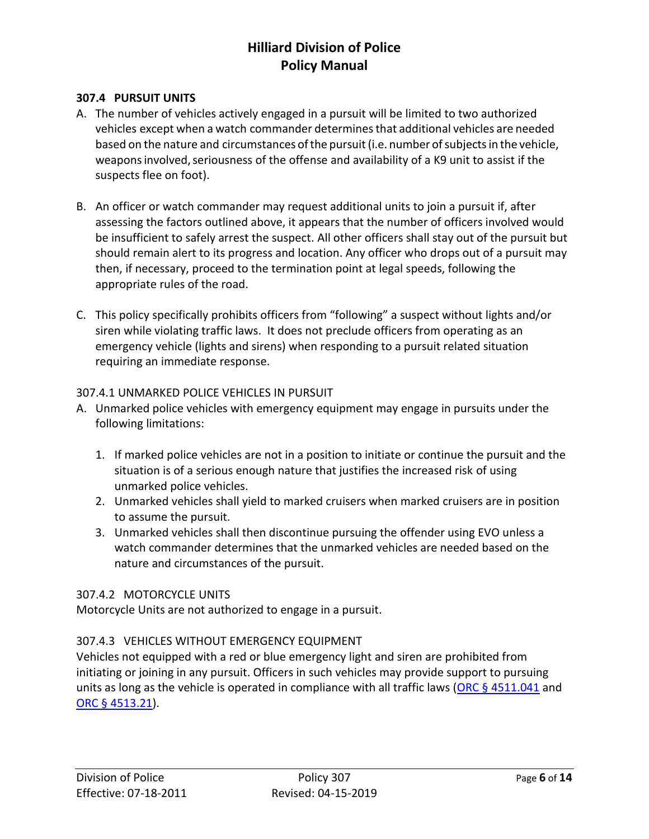#### **307.4 PURSUIT UNITS**

- A. The number of vehicles actively engaged in a pursuit will be limited to two authorized vehicles except when a watch commander determinesthat additional vehicles are needed based on the nature and circumstances of the pursuit (i.e. number of subjects in the vehicle, weapons involved, seriousness of the offense and availability of a K9 unit to assist if the suspects flee on foot).
- B. An officer or watch commander may request additional units to join a pursuit if, after assessing the factors outlined above, it appears that the number of officers involved would be insufficient to safely arrest the suspect. All other officers shall stay out of the pursuit but should remain alert to its progress and location. Any officer who drops out of a pursuit may then, if necessary, proceed to the termination point at legal speeds, following the appropriate rules of the road.
- C. This policy specifically prohibits officers from "following" a suspect without lights and/or siren while violating traffic laws. It does not preclude officers from operating as an emergency vehicle (lights and sirens) when responding to a pursuit related situation requiring an immediate response.

#### 307.4.1 UNMARKED POLICE VEHICLES IN PURSUIT

- A. Unmarked police vehicles with emergency equipment may engage in pursuits under the following limitations:
	- 1. If marked police vehicles are not in a position to initiate or continue the pursuit and the situation is of a serious enough nature that justifies the increased risk of using unmarked police vehicles.
	- 2. Unmarked vehicles shall yield to marked cruisers when marked cruisers are in position to assume the pursuit.
	- 3. Unmarked vehicles shall then discontinue pursuing the offender using EVO unless a watch commander determines that the unmarked vehicles are needed based on the nature and circumstances of the pursuit.

### 307.4.2 MOTORCYCLE UNITS

Motorcycle Units are not authorized to engage in a pursuit.

### 307.4.3 VEHICLES WITHOUT EMERGENCY EQUIPMENT

Vehicles not equipped with a red or blue emergency light and siren are prohibited from initiating or joining in any pursuit. Officers in such vehicles may provide support to pursuing units as long as the vehicle is operated in compliance with all traffic laws (ORC  $\S$  4511.041 and [ORC § 4513.21\)](http://codes.ohio.gov/orc/4513.21).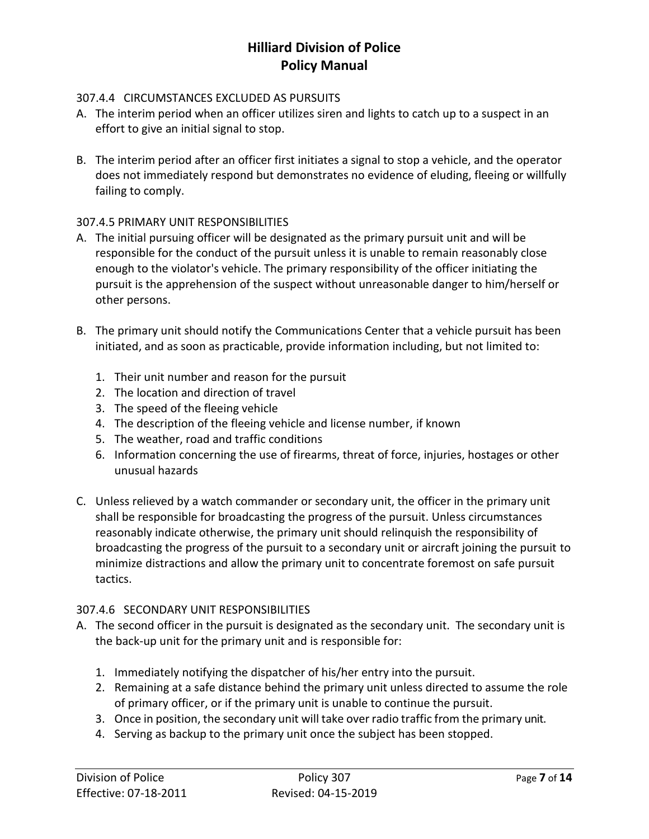### 307.4.4 CIRCUMSTANCES EXCLUDED AS PURSUITS

- A. The interim period when an officer utilizes siren and lights to catch up to a suspect in an effort to give an initial signal to stop.
- B. The interim period after an officer first initiates a signal to stop a vehicle, and the operator does not immediately respond but demonstrates no evidence of eluding, fleeing or willfully failing to comply.

### 307.4.5 PRIMARY UNIT RESPONSIBILITIES

- A. The initial pursuing officer will be designated as the primary pursuit unit and will be responsible for the conduct of the pursuit unless it is unable to remain reasonably close enough to the violator's vehicle. The primary responsibility of the officer initiating the pursuit is the apprehension of the suspect without unreasonable danger to him/herself or other persons.
- B. The primary unit should notify the Communications Center that a vehicle pursuit has been initiated, and as soon as practicable, provide information including, but not limited to:
	- 1. Their unit number and reason for the pursuit
	- 2. The location and direction of travel
	- 3. The speed of the fleeing vehicle
	- 4. The description of the fleeing vehicle and license number, if known
	- 5. The weather, road and traffic conditions
	- 6. Information concerning the use of firearms, threat of force, injuries, hostages or other unusual hazards
- C. Unless relieved by a watch commander or secondary unit, the officer in the primary unit shall be responsible for broadcasting the progress of the pursuit. Unless circumstances reasonably indicate otherwise, the primary unit should relinquish the responsibility of broadcasting the progress of the pursuit to a secondary unit or aircraft joining the pursuit to minimize distractions and allow the primary unit to concentrate foremost on safe pursuit tactics.

### 307.4.6 SECONDARY UNIT RESPONSIBILITIES

- A. The second officer in the pursuit is designated as the secondary unit. The secondary unit is the back-up unit for the primary unit and is responsible for:
	- 1. Immediately notifying the dispatcher of his/her entry into the pursuit.
	- 2. Remaining at a safe distance behind the primary unit unless directed to assume the role of primary officer, or if the primary unit is unable to continue the pursuit.
	- 3. Once in position, the secondary unit will take over radio traffic from the primary unit.
	- 4. Serving as backup to the primary unit once the subject has been stopped.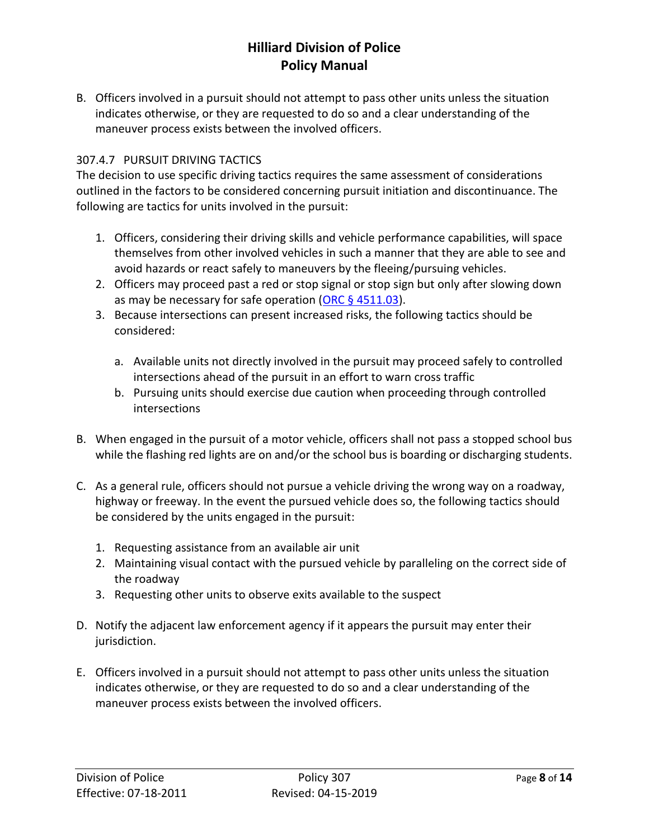B. Officers involved in a pursuit should not attempt to pass other units unless the situation indicates otherwise, or they are requested to do so and a clear understanding of the maneuver process exists between the involved officers.

### 307.4.7 PURSUIT DRIVING TACTICS

The decision to use specific driving tactics requires the same assessment of considerations outlined in the factors to be considered concerning pursuit initiation and discontinuance. The following are tactics for units involved in the pursuit:

- 1. Officers, considering their driving skills and vehicle performance capabilities, will space themselves from other involved vehicles in such a manner that they are able to see and avoid hazards or react safely to maneuvers by the fleeing/pursuing vehicles.
- 2. Officers may proceed past a red or stop signal or stop sign but only after slowing down as may be necessary for safe operation (ORC  $\S$  4511.03).
- 3. Because intersections can present increased risks, the following tactics should be considered:
	- a. Available units not directly involved in the pursuit may proceed safely to controlled intersections ahead of the pursuit in an effort to warn cross traffic
	- b. Pursuing units should exercise due caution when proceeding through controlled intersections
- B. When engaged in the pursuit of a motor vehicle, officers shall not pass a stopped school bus while the flashing red lights are on and/or the school bus is boarding or discharging students.
- C. As a general rule, officers should not pursue a vehicle driving the wrong way on a roadway, highway or freeway. In the event the pursued vehicle does so, the following tactics should be considered by the units engaged in the pursuit:
	- 1. Requesting assistance from an available air unit
	- 2. Maintaining visual contact with the pursued vehicle by paralleling on the correct side of the roadway
	- 3. Requesting other units to observe exits available to the suspect
- D. Notify the adjacent law enforcement agency if it appears the pursuit may enter their jurisdiction.
- E. Officers involved in a pursuit should not attempt to pass other units unless the situation indicates otherwise, or they are requested to do so and a clear understanding of the maneuver process exists between the involved officers.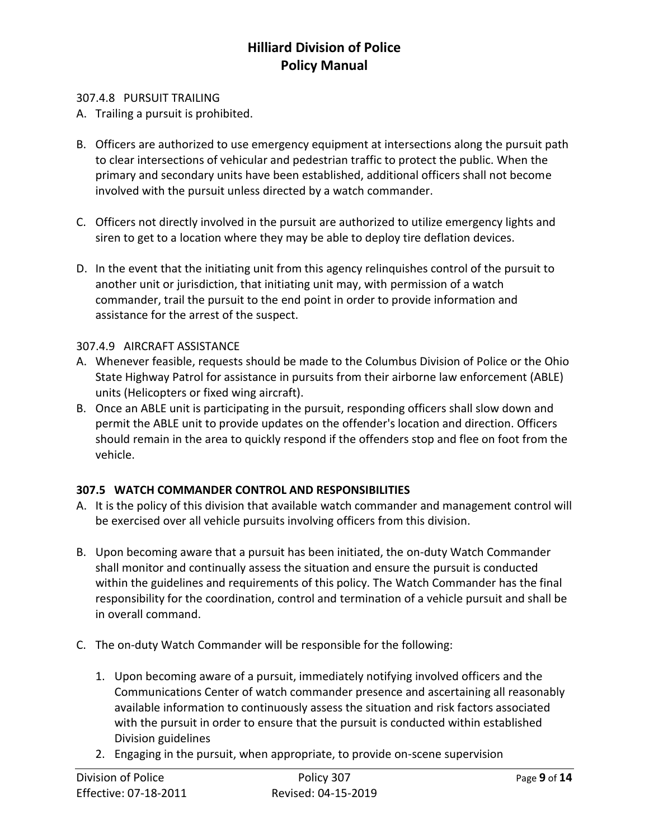#### 307.4.8 PURSUIT TRAILING

- A. Trailing a pursuit is prohibited.
- B. Officers are authorized to use emergency equipment at intersections along the pursuit path to clear intersections of vehicular and pedestrian traffic to protect the public. When the primary and secondary units have been established, additional officers shall not become involved with the pursuit unless directed by a watch commander.
- C. Officers not directly involved in the pursuit are authorized to utilize emergency lights and siren to get to a location where they may be able to deploy tire deflation devices.
- D. In the event that the initiating unit from this agency relinquishes control of the pursuit to another unit or jurisdiction, that initiating unit may, with permission of a watch commander, trail the pursuit to the end point in order to provide information and assistance for the arrest of the suspect.

#### 307.4.9 AIRCRAFT ASSISTANCE

- A. Whenever feasible, requests should be made to the Columbus Division of Police or the Ohio State Highway Patrol for assistance in pursuits from their airborne law enforcement (ABLE) units (Helicopters or fixed wing aircraft).
- B. Once an ABLE unit is participating in the pursuit, responding officers shall slow down and permit the ABLE unit to provide updates on the offender's location and direction. Officers should remain in the area to quickly respond if the offenders stop and flee on foot from the vehicle.

### **307.5 WATCH COMMANDER CONTROL AND RESPONSIBILITIES**

- A. It is the policy of this division that available watch commander and management control will be exercised over all vehicle pursuits involving officers from this division.
- B. Upon becoming aware that a pursuit has been initiated, the on-duty Watch Commander shall monitor and continually assess the situation and ensure the pursuit is conducted within the guidelines and requirements of this policy. The Watch Commander has the final responsibility for the coordination, control and termination of a vehicle pursuit and shall be in overall command.
- C. The on-duty Watch Commander will be responsible for the following:
	- 1. Upon becoming aware of a pursuit, immediately notifying involved officers and the Communications Center of watch commander presence and ascertaining all reasonably available information to continuously assess the situation and risk factors associated with the pursuit in order to ensure that the pursuit is conducted within established Division guidelines
	- 2. Engaging in the pursuit, when appropriate, to provide on-scene supervision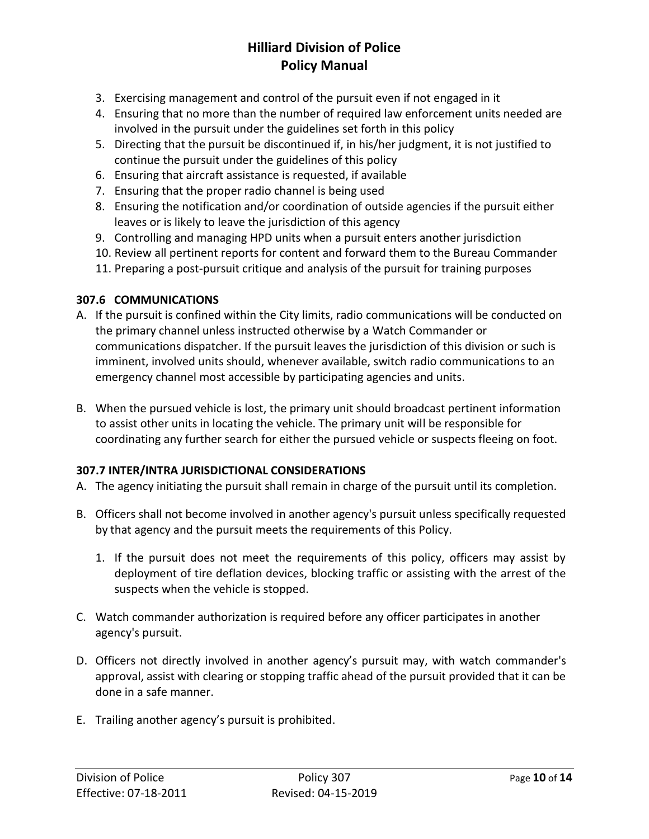- 3. Exercising management and control of the pursuit even if not engaged in it
- 4. Ensuring that no more than the number of required law enforcement units needed are involved in the pursuit under the guidelines set forth in this policy
- 5. Directing that the pursuit be discontinued if, in his/her judgment, it is not justified to continue the pursuit under the guidelines of this policy
- 6. Ensuring that aircraft assistance is requested, if available
- 7. Ensuring that the proper radio channel is being used
- 8. Ensuring the notification and/or coordination of outside agencies if the pursuit either leaves or is likely to leave the jurisdiction of this agency
- 9. Controlling and managing HPD units when a pursuit enters another jurisdiction
- 10. Review all pertinent reports for content and forward them to the Bureau Commander
- 11. Preparing a post-pursuit critique and analysis of the pursuit for training purposes

### **307.6 COMMUNICATIONS**

- A. If the pursuit is confined within the City limits, radio communications will be conducted on the primary channel unless instructed otherwise by a Watch Commander or communications dispatcher. If the pursuit leaves the jurisdiction of this division or such is imminent, involved units should, whenever available, switch radio communications to an emergency channel most accessible by participating agencies and units.
- B. When the pursued vehicle is lost, the primary unit should broadcast pertinent information to assist other units in locating the vehicle. The primary unit will be responsible for coordinating any further search for either the pursued vehicle or suspects fleeing on foot.

### **307.7 INTER/INTRA JURISDICTIONAL CONSIDERATIONS**

- A. The agency initiating the pursuit shall remain in charge of the pursuit until its completion.
- B. Officers shall not become involved in another agency's pursuit unless specifically requested by that agency and the pursuit meets the requirements of this Policy.
	- 1. If the pursuit does not meet the requirements of this policy, officers may assist by deployment of tire deflation devices, blocking traffic or assisting with the arrest of the suspects when the vehicle is stopped.
- C. Watch commander authorization is required before any officer participates in another agency's pursuit.
- D. Officers not directly involved in another agency's pursuit may, with watch commander's approval, assist with clearing or stopping traffic ahead of the pursuit provided that it can be done in a safe manner.
- E. Trailing another agency's pursuit is prohibited.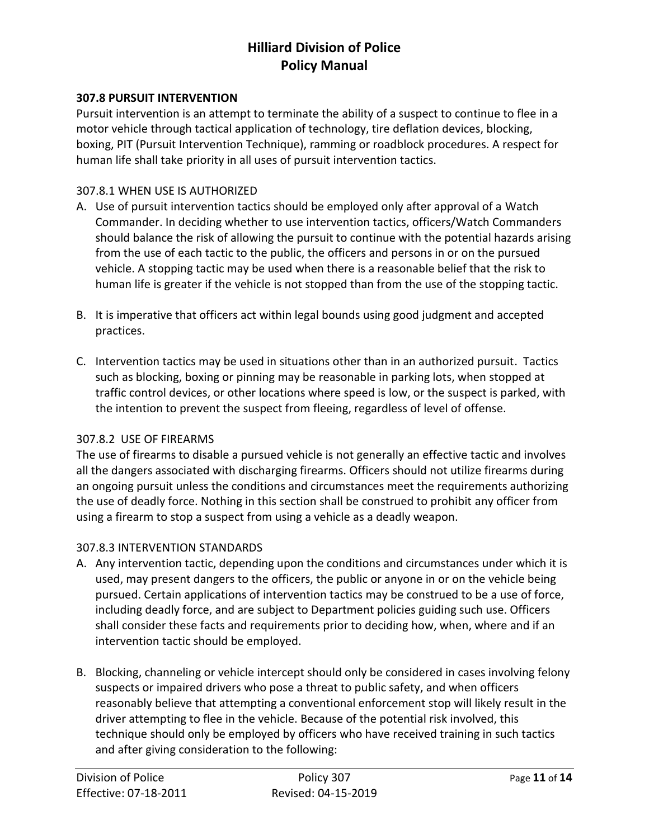#### **307.8 PURSUIT INTERVENTION**

Pursuit intervention is an attempt to terminate the ability of a suspect to continue to flee in a motor vehicle through tactical application of technology, tire deflation devices, blocking, boxing, PIT (Pursuit Intervention Technique), ramming or roadblock procedures. A respect for human life shall take priority in all uses of pursuit intervention tactics.

#### 307.8.1 WHEN USE IS AUTHORIZED

- A. Use of pursuit intervention tactics should be employed only after approval of a Watch Commander. In deciding whether to use intervention tactics, officers/Watch Commanders should balance the risk of allowing the pursuit to continue with the potential hazards arising from the use of each tactic to the public, the officers and persons in or on the pursued vehicle. A stopping tactic may be used when there is a reasonable belief that the risk to human life is greater if the vehicle is not stopped than from the use of the stopping tactic.
- B. It is imperative that officers act within legal bounds using good judgment and accepted practices.
- C. Intervention tactics may be used in situations other than in an authorized pursuit. Tactics such as blocking, boxing or pinning may be reasonable in parking lots, when stopped at traffic control devices, or other locations where speed is low, or the suspect is parked, with the intention to prevent the suspect from fleeing, regardless of level of offense.

#### 307.8.2 USE OF FIREARMS

The use of firearms to disable a pursued vehicle is not generally an effective tactic and involves all the dangers associated with discharging firearms. Officers should not utilize firearms during an ongoing pursuit unless the conditions and circumstances meet the requirements authorizing the use of deadly force. Nothing in this section shall be construed to prohibit any officer from using a firearm to stop a suspect from using a vehicle as a deadly weapon.

### 307.8.3 INTERVENTION STANDARDS

- A. Any intervention tactic, depending upon the conditions and circumstances under which it is used, may present dangers to the officers, the public or anyone in or on the vehicle being pursued. Certain applications of intervention tactics may be construed to be a use of force, including deadly force, and are subject to Department policies guiding such use. Officers shall consider these facts and requirements prior to deciding how, when, where and if an intervention tactic should be employed.
- B. Blocking, channeling or vehicle intercept should only be considered in cases involving felony suspects or impaired drivers who pose a threat to public safety, and when officers reasonably believe that attempting a conventional enforcement stop will likely result in the driver attempting to flee in the vehicle. Because of the potential risk involved, this technique should only be employed by officers who have received training in such tactics and after giving consideration to the following: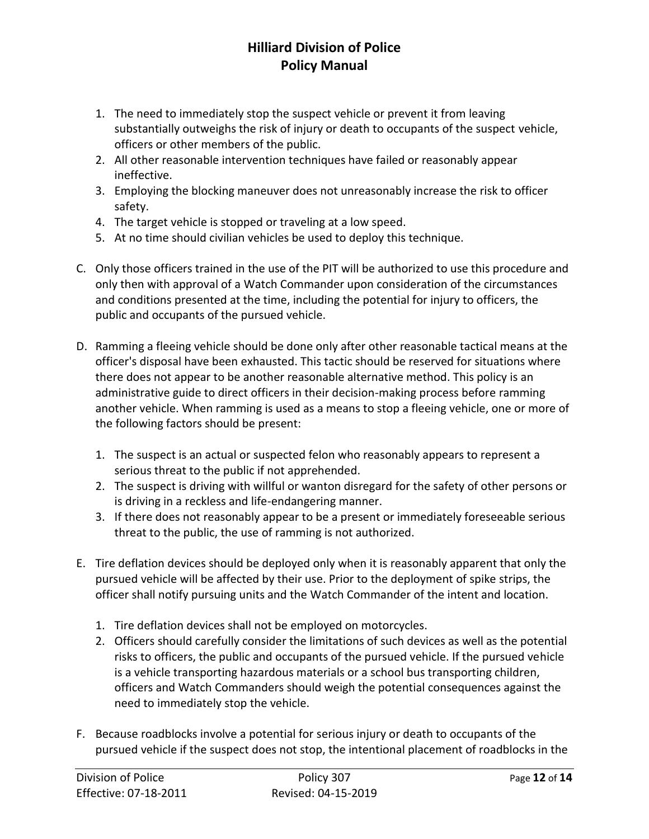- 1. The need to immediately stop the suspect vehicle or prevent it from leaving substantially outweighs the risk of injury or death to occupants of the suspect vehicle, officers or other members of the public.
- 2. All other reasonable intervention techniques have failed or reasonably appear ineffective.
- 3. Employing the blocking maneuver does not unreasonably increase the risk to officer safety.
- 4. The target vehicle is stopped or traveling at a low speed.
- 5. At no time should civilian vehicles be used to deploy this technique.
- C. Only those officers trained in the use of the PIT will be authorized to use this procedure and only then with approval of a Watch Commander upon consideration of the circumstances and conditions presented at the time, including the potential for injury to officers, the public and occupants of the pursued vehicle.
- D. Ramming a fleeing vehicle should be done only after other reasonable tactical means at the officer's disposal have been exhausted. This tactic should be reserved for situations where there does not appear to be another reasonable alternative method. This policy is an administrative guide to direct officers in their decision-making process before ramming another vehicle. When ramming is used as a means to stop a fleeing vehicle, one or more of the following factors should be present:
	- 1. The suspect is an actual or suspected felon who reasonably appears to represent a serious threat to the public if not apprehended.
	- 2. The suspect is driving with willful or wanton disregard for the safety of other persons or is driving in a reckless and life-endangering manner.
	- 3. If there does not reasonably appear to be a present or immediately foreseeable serious threat to the public, the use of ramming is not authorized.
- E. Tire deflation devices should be deployed only when it is reasonably apparent that only the pursued vehicle will be affected by their use. Prior to the deployment of spike strips, the officer shall notify pursuing units and the Watch Commander of the intent and location.
	- 1. Tire deflation devices shall not be employed on motorcycles.
	- 2. Officers should carefully consider the limitations of such devices as well as the potential risks to officers, the public and occupants of the pursued vehicle. If the pursued vehicle is a vehicle transporting hazardous materials or a school bus transporting children, officers and Watch Commanders should weigh the potential consequences against the need to immediately stop the vehicle.
- F. Because roadblocks involve a potential for serious injury or death to occupants of the pursued vehicle if the suspect does not stop, the intentional placement of roadblocks in the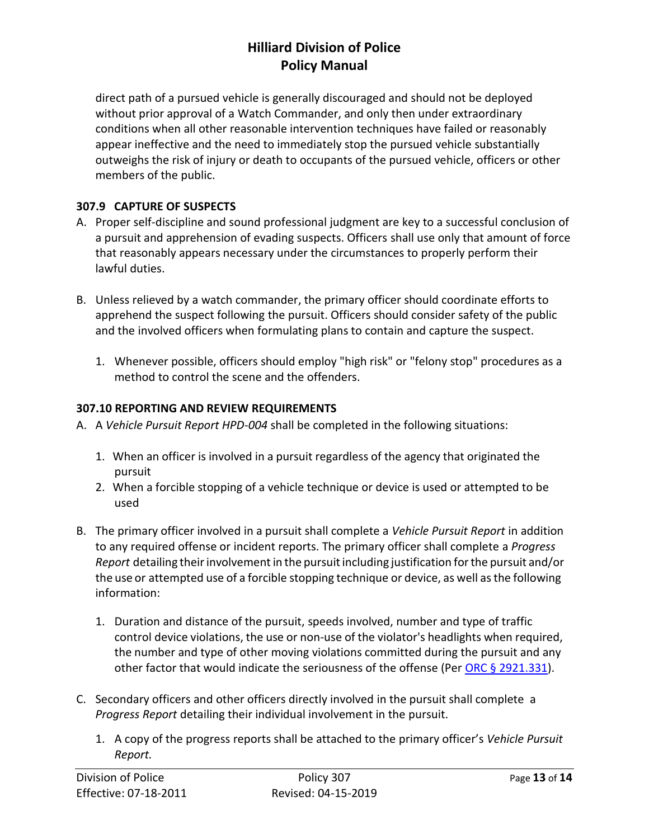direct path of a pursued vehicle is generally discouraged and should not be deployed without prior approval of a Watch Commander, and only then under extraordinary conditions when all other reasonable intervention techniques have failed or reasonably appear ineffective and the need to immediately stop the pursued vehicle substantially outweighs the risk of injury or death to occupants of the pursued vehicle, officers or other members of the public.

### **307.9 CAPTURE OF SUSPECTS**

- A. Proper self-discipline and sound professional judgment are key to a successful conclusion of a pursuit and apprehension of evading suspects. Officers shall use only that amount of force that reasonably appears necessary under the circumstances to properly perform their lawful duties.
- B. Unless relieved by a watch commander, the primary officer should coordinate efforts to apprehend the suspect following the pursuit. Officers should consider safety of the public and the involved officers when formulating plans to contain and capture the suspect.
	- 1. Whenever possible, officers should employ "high risk" or "felony stop" procedures as a method to control the scene and the offenders.

### **307.10 REPORTING AND REVIEW REQUIREMENTS**

- A. A *Vehicle Pursuit Report HPD-004* shall be completed in the following situations:
	- 1. When an officer is involved in a pursuit regardless of the agency that originated the pursuit
	- 2. When a forcible stopping of a vehicle technique or device is used or attempted to be used
- B. The primary officer involved in a pursuit shall complete a *Vehicle Pursuit Report* in addition to any required offense or incident reports. The primary officer shall complete a *Progress*  Report detailing their involvement in the pursuit including justification for the pursuit and/or the use or attempted use of a forcible stopping technique or device, as well as the following information:
	- 1. Duration and distance of the pursuit, speeds involved, number and type of traffic control device violations, the use or non-use of the violator's headlights when required, the number and type of other moving violations committed during the pursuit and any other factor that would indicate the seriousness of the offense (Per ORC § [2921.331\)](http://codes.ohio.gov/orc/2921.331).
- C. Secondary officers and other officers directly involved in the pursuit shall complete a *Progress Report* detailing their individual involvement in the pursuit.
	- 1. A copy of the progress reports shall be attached to the primary officer's *Vehicle Pursuit Report.*